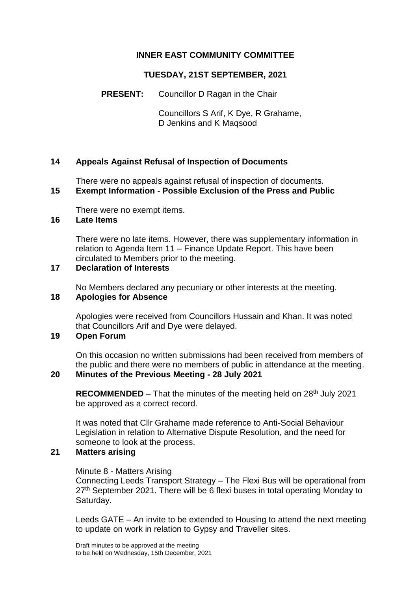## **INNER EAST COMMUNITY COMMITTEE**

### **TUESDAY, 21ST SEPTEMBER, 2021**

## **PRESENT:** Councillor D Ragan in the Chair

Councillors S Arif, K Dye, R Grahame, D Jenkins and K Maqsood

### **14 Appeals Against Refusal of Inspection of Documents**

There were no appeals against refusal of inspection of documents. **15 Exempt Information - Possible Exclusion of the Press and Public**

# There were no exempt items.

### **16 Late Items**

There were no late items. However, there was supplementary information in relation to Agenda Item 11 – Finance Update Report. This have been circulated to Members prior to the meeting.

### **17 Declaration of Interests**

No Members declared any pecuniary or other interests at the meeting.

### **18 Apologies for Absence**

Apologies were received from Councillors Hussain and Khan. It was noted that Councillors Arif and Dye were delayed.

### **19 Open Forum**

On this occasion no written submissions had been received from members of the public and there were no members of public in attendance at the meeting.

#### **20 Minutes of the Previous Meeting - 28 July 2021**

**RECOMMENDED** – That the minutes of the meeting held on 28<sup>th</sup> July 2021 be approved as a correct record.

It was noted that Cllr Grahame made reference to Anti-Social Behaviour Legislation in relation to Alternative Dispute Resolution, and the need for someone to look at the process.

## **21 Matters arising**

#### Minute 8 - Matters Arising

Connecting Leeds Transport Strategy – The Flexi Bus will be operational from 27<sup>th</sup> September 2021. There will be 6 flexi buses in total operating Monday to Saturday.

Leeds GATE – An invite to be extended to Housing to attend the next meeting to update on work in relation to Gypsy and Traveller sites.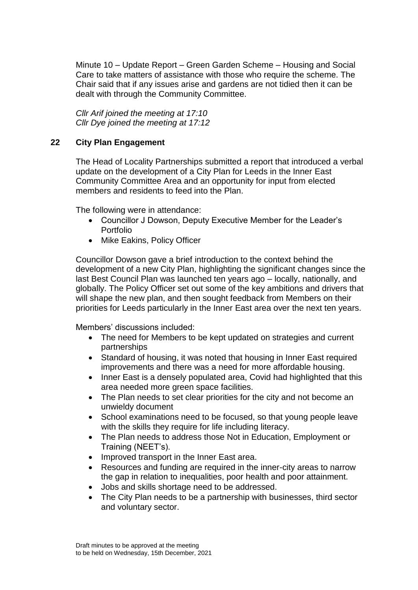Minute 10 – Update Report – Green Garden Scheme – Housing and Social Care to take matters of assistance with those who require the scheme. The Chair said that if any issues arise and gardens are not tidied then it can be dealt with through the Community Committee.

*Cllr Arif joined the meeting at 17:10 Cllr Dye joined the meeting at 17:12*

## **22 City Plan Engagement**

The Head of Locality Partnerships submitted a report that introduced a verbal update on the development of a City Plan for Leeds in the Inner East Community Committee Area and an opportunity for input from elected members and residents to feed into the Plan.

The following were in attendance:

- Councillor J Dowson, Deputy Executive Member for the Leader's Portfolio
- Mike Eakins, Policy Officer

Councillor Dowson gave a brief introduction to the context behind the development of a new City Plan, highlighting the significant changes since the last Best Council Plan was launched ten years ago – locally, nationally, and globally. The Policy Officer set out some of the key ambitions and drivers that will shape the new plan, and then sought feedback from Members on their priorities for Leeds particularly in the Inner East area over the next ten years.

Members' discussions included:

- The need for Members to be kept updated on strategies and current partnerships
- Standard of housing, it was noted that housing in Inner East required improvements and there was a need for more affordable housing.
- Inner East is a densely populated area, Covid had highlighted that this area needed more green space facilities.
- The Plan needs to set clear priorities for the city and not become an unwieldy document
- School examinations need to be focused, so that young people leave with the skills they require for life including literacy.
- The Plan needs to address those Not in Education, Employment or Training (NEET's).
- Improved transport in the Inner East area.
- Resources and funding are required in the inner-city areas to narrow the gap in relation to inequalities, poor health and poor attainment.
- Jobs and skills shortage need to be addressed.
- The City Plan needs to be a partnership with businesses, third sector and voluntary sector.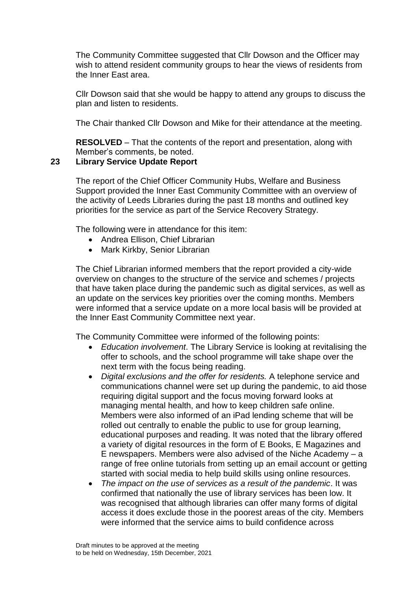The Community Committee suggested that Cllr Dowson and the Officer may wish to attend resident community groups to hear the views of residents from the Inner East area.

Cllr Dowson said that she would be happy to attend any groups to discuss the plan and listen to residents.

The Chair thanked Cllr Dowson and Mike for their attendance at the meeting.

**RESOLVED** – That the contents of the report and presentation, along with Member's comments, be noted.

### **23 Library Service Update Report**

The report of the Chief Officer Community Hubs, Welfare and Business Support provided the Inner East Community Committee with an overview of the activity of Leeds Libraries during the past 18 months and outlined key priorities for the service as part of the Service Recovery Strategy.

The following were in attendance for this item:

- Andrea Ellison, Chief Librarian
- Mark Kirkby, Senior Librarian

The Chief Librarian informed members that the report provided a city-wide overview on changes to the structure of the service and schemes / projects that have taken place during the pandemic such as digital services, as well as an update on the services key priorities over the coming months. Members were informed that a service update on a more local basis will be provided at the Inner East Community Committee next year.

The Community Committee were informed of the following points:

- *Education involvement*. The Library Service is looking at revitalising the offer to schools, and the school programme will take shape over the next term with the focus being reading.
- *Digital exclusions and the offer for residents.* A telephone service and communications channel were set up during the pandemic, to aid those requiring digital support and the focus moving forward looks at managing mental health, and how to keep children safe online. Members were also informed of an iPad lending scheme that will be rolled out centrally to enable the public to use for group learning, educational purposes and reading. It was noted that the library offered a variety of digital resources in the form of E Books, E Magazines and E newspapers. Members were also advised of the Niche Academy – a range of free online tutorials from setting up an email account or getting started with social media to help build skills using online resources.
- *The impact on the use of services as a result of the pandemic*. It was confirmed that nationally the use of library services has been low. It was recognised that although libraries can offer many forms of digital access it does exclude those in the poorest areas of the city. Members were informed that the service aims to build confidence across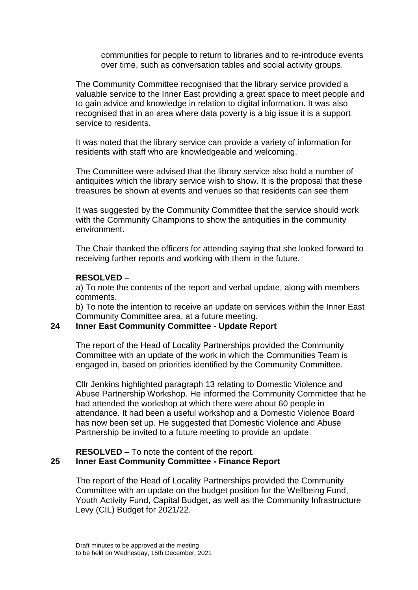communities for people to return to libraries and to re-introduce events over time, such as conversation tables and social activity groups.

The Community Committee recognised that the library service provided a valuable service to the Inner East providing a great space to meet people and to gain advice and knowledge in relation to digital information. It was also recognised that in an area where data poverty is a big issue it is a support service to residents.

It was noted that the library service can provide a variety of information for residents with staff who are knowledgeable and welcoming.

The Committee were advised that the library service also hold a number of antiquities which the library service wish to show. It is the proposal that these treasures be shown at events and venues so that residents can see them

It was suggested by the Community Committee that the service should work with the Community Champions to show the antiquities in the community environment.

The Chair thanked the officers for attending saying that she looked forward to receiving further reports and working with them in the future.

### **RESOLVED** –

a) To note the contents of the report and verbal update, along with members comments.

b) To note the intention to receive an update on services within the Inner East Community Committee area, at a future meeting.

## **24 Inner East Community Committee - Update Report**

The report of the Head of Locality Partnerships provided the Community Committee with an update of the work in which the Communities Team is engaged in, based on priorities identified by the Community Committee.

Cllr Jenkins highlighted paragraph 13 relating to Domestic Violence and Abuse Partnership Workshop. He informed the Community Committee that he had attended the workshop at which there were about 60 people in attendance. It had been a useful workshop and a Domestic Violence Board has now been set up. He suggested that Domestic Violence and Abuse Partnership be invited to a future meeting to provide an update.

### **RESOLVED** – To note the content of the report. **25 Inner East Community Committee - Finance Report**

The report of the Head of Locality Partnerships provided the Community Committee with an update on the budget position for the Wellbeing Fund, Youth Activity Fund, Capital Budget, as well as the Community Infrastructure Levy (CIL) Budget for 2021/22.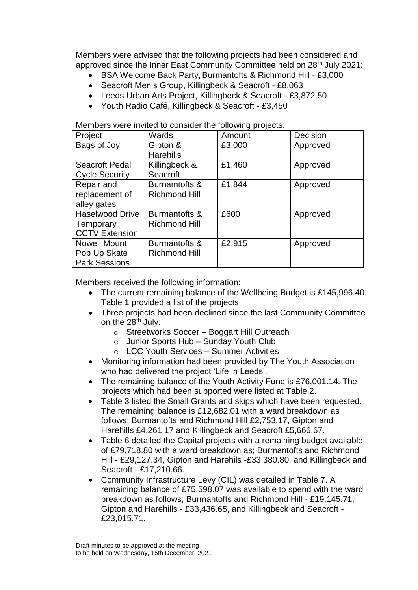Members were advised that the following projects had been considered and approved since the Inner East Community Committee held on 28<sup>th</sup> July 2021:

- BSA Welcome Back Party, Burmantofts & Richmond Hill £3,000
- Seacroft Men's Group, Killingbeck & Seacroft £8,063
- Leeds Urban Arts Project, Killingbeck & Seacroft £3,872.50
- Youth Radio Café, Killingbeck & Seacroft £3,450

Members were invited to consider the following projects:

| Project                | Wards                | Amount | Decision |
|------------------------|----------------------|--------|----------|
| Bags of Joy            | Gipton &             | £3,000 | Approved |
|                        | <b>Harehills</b>     |        |          |
| Seacroft Pedal         | Killingbeck &        | £1,460 | Approved |
| <b>Cycle Security</b>  | Seacroft             |        |          |
| Repair and             | Burnamtofts &        | £1,844 | Approved |
| replacement of         | <b>Richmond Hill</b> |        |          |
| alley gates            |                      |        |          |
| <b>Haselwood Drive</b> | Burmantofts &        | £600   | Approved |
| Temporary              | <b>Richmond Hill</b> |        |          |
| <b>CCTV Extension</b>  |                      |        |          |
| <b>Nowell Mount</b>    | Burmantofts &        | £2,915 | Approved |
| Pop Up Skate           | <b>Richmond Hill</b> |        |          |
| <b>Park Sessions</b>   |                      |        |          |

Members received the following information:

- The current remaining balance of the Wellbeing Budget is £145,996.40. Table 1 provided a list of the projects.
- Three projects had been declined since the last Community Committee on the 28<sup>th</sup> July:
	- o Streetworks Soccer Boggart Hill Outreach
	- $\circ$  Junior Sports Hub Sunday Youth Club
	- o LCC Youth Services Summer Activities
- Monitoring information had been provided by The Youth Association who had delivered the project 'Life in Leeds'.
- The remaining balance of the Youth Activity Fund is £76,001.14. The projects which had been supported were listed at Table 2.
- Table 3 listed the Small Grants and skips which have been requested. The remaining balance is £12,682.01 with a ward breakdown as follows; Burmantofts and Richmond Hill £2,753.17, Gipton and Harehills £4,261.17 and Killingbeck and Seacroft £5,666.67.
- Table 6 detailed the Capital projects with a remaining budget available of £79,718.80 with a ward breakdown as; Burmantofts and Richmond Hill - £29,127.34, Gipton and Harehils -£33,380.80, and Killingbeck and Seacroft - £17,210.66.
- Community Infrastructure Levy (CIL) was detailed in Table 7. A remaining balance of £75,598.07 was available to spend with the ward breakdown as follows; Burmantofts and Richmond Hill - £19,145.71, Gipton and Harehills - £33,436.65, and Killingbeck and Seacroft - £23,015.71.